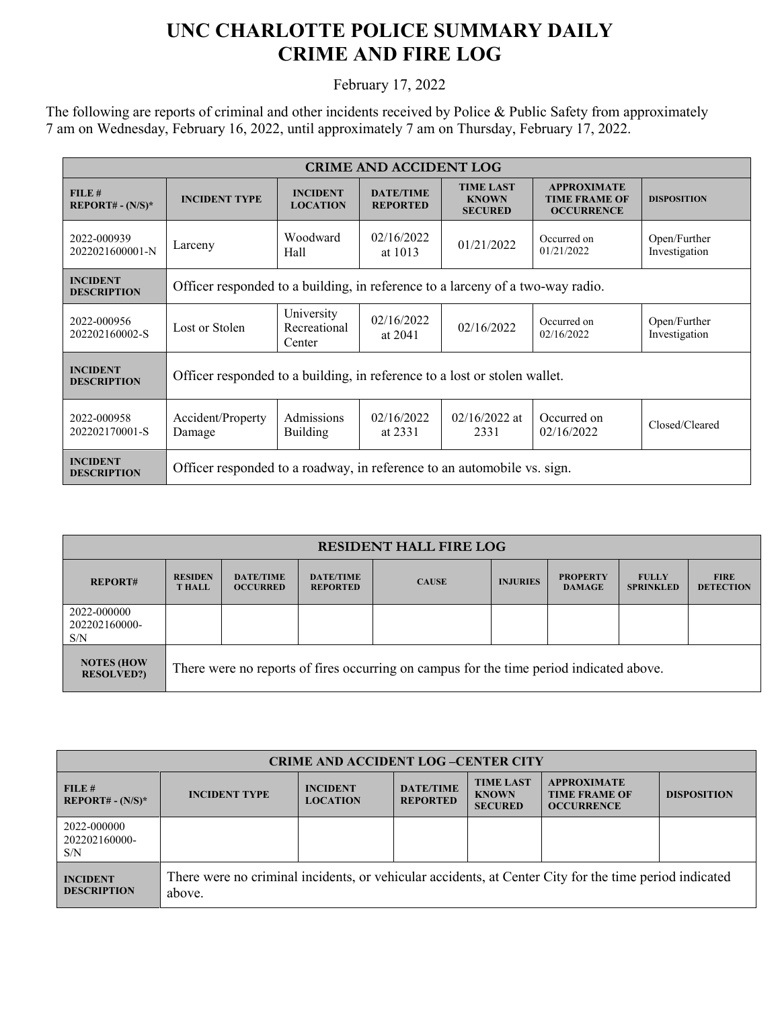## **UNC CHARLOTTE POLICE SUMMARY DAILY CRIME AND FIRE LOG**

February 17, 2022

The following are reports of criminal and other incidents received by Police & Public Safety from approximately 7 am on Wednesday, February 16, 2022, until approximately 7 am on Thursday, February 17, 2022.

| <b>CRIME AND ACCIDENT LOG</b>         |                                                                                |                                      |                                     |                                                    |                                                                 |                               |  |  |
|---------------------------------------|--------------------------------------------------------------------------------|--------------------------------------|-------------------------------------|----------------------------------------------------|-----------------------------------------------------------------|-------------------------------|--|--|
| FILE#<br>$REPORT# - (N/S)*$           | <b>INCIDENT TYPE</b>                                                           | <b>INCIDENT</b><br><b>LOCATION</b>   | <b>DATE/TIME</b><br><b>REPORTED</b> | <b>TIME LAST</b><br><b>KNOWN</b><br><b>SECURED</b> | <b>APPROXIMATE</b><br><b>TIME FRAME OF</b><br><b>OCCURRENCE</b> | <b>DISPOSITION</b>            |  |  |
| 2022-000939<br>2022021600001-N        | Larceny                                                                        | Woodward<br>Hall                     | 02/16/2022<br>at $1013$             | 01/21/2022                                         | Occurred on<br>01/21/2022                                       | Open/Further<br>Investigation |  |  |
| <b>INCIDENT</b><br><b>DESCRIPTION</b> | Officer responded to a building, in reference to a larceny of a two-way radio. |                                      |                                     |                                                    |                                                                 |                               |  |  |
| 2022-000956<br>202202160002-S         | Lost or Stolen                                                                 | University<br>Recreational<br>Center | 02/16/2022<br>at 2041               | 02/16/2022                                         | Occurred on<br>02/16/2022                                       | Open/Further<br>Investigation |  |  |
| <b>INCIDENT</b><br><b>DESCRIPTION</b> | Officer responded to a building, in reference to a lost or stolen wallet.      |                                      |                                     |                                                    |                                                                 |                               |  |  |
| 2022-000958<br>202202170001-S         | Accident/Property<br>Damage                                                    | Admissions<br><b>Building</b>        | 02/16/2022<br>at 2331               | $02/16/2022$ at<br>2331                            | Occurred on<br>02/16/2022                                       | Closed/Cleared                |  |  |
| <b>INCIDENT</b><br><b>DESCRIPTION</b> | Officer responded to a roadway, in reference to an automobile vs. sign.        |                                      |                                     |                                                    |                                                                 |                               |  |  |

| <b>RESIDENT HALL FIRE LOG</b>          |                                                                                         |                                     |                                     |              |                 |                                  |                                  |                                 |
|----------------------------------------|-----------------------------------------------------------------------------------------|-------------------------------------|-------------------------------------|--------------|-----------------|----------------------------------|----------------------------------|---------------------------------|
| <b>REPORT#</b>                         | <b>RESIDEN</b><br><b>T HALL</b>                                                         | <b>DATE/TIME</b><br><b>OCCURRED</b> | <b>DATE/TIME</b><br><b>REPORTED</b> | <b>CAUSE</b> | <b>INJURIES</b> | <b>PROPERTY</b><br><b>DAMAGE</b> | <b>FULLY</b><br><b>SPRINKLED</b> | <b>FIRE</b><br><b>DETECTION</b> |
| 2022-000000<br>202202160000-<br>S/N    |                                                                                         |                                     |                                     |              |                 |                                  |                                  |                                 |
| <b>NOTES (HOW</b><br><b>RESOLVED?)</b> | There were no reports of fires occurring on campus for the time period indicated above. |                                     |                                     |              |                 |                                  |                                  |                                 |

| <b>CRIME AND ACCIDENT LOG-CENTER CITY</b> |                                                                                                                  |                                    |                                     |                                                    |                                                                 |                    |  |
|-------------------------------------------|------------------------------------------------------------------------------------------------------------------|------------------------------------|-------------------------------------|----------------------------------------------------|-----------------------------------------------------------------|--------------------|--|
| FILE#<br>$REPORT# - (N/S)*$               | <b>INCIDENT TYPE</b>                                                                                             | <b>INCIDENT</b><br><b>LOCATION</b> | <b>DATE/TIME</b><br><b>REPORTED</b> | <b>TIME LAST</b><br><b>KNOWN</b><br><b>SECURED</b> | <b>APPROXIMATE</b><br><b>TIME FRAME OF</b><br><b>OCCURRENCE</b> | <b>DISPOSITION</b> |  |
| 2022-000000<br>202202160000-<br>S/N       |                                                                                                                  |                                    |                                     |                                                    |                                                                 |                    |  |
| <b>INCIDENT</b><br><b>DESCRIPTION</b>     | There were no criminal incidents, or vehicular accidents, at Center City for the time period indicated<br>above. |                                    |                                     |                                                    |                                                                 |                    |  |